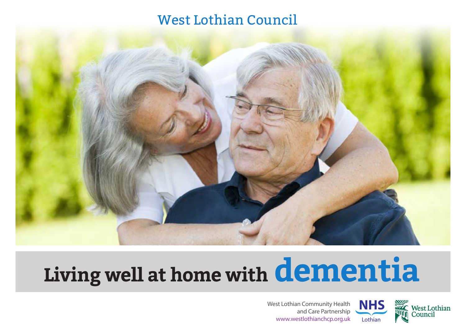### West Lothian Council



# **Living well at home with dementia**



West Lothian Community Health and Care Partnership www.westlothianchcp.org.uk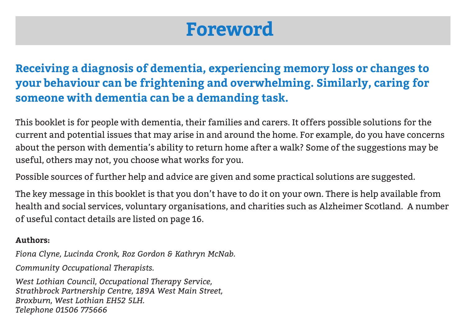### **Foreword**

**Receiving a diagnosis of dementia, experiencing memory loss or changes to your behaviour can be frightening and overwhelming. Similarly, caring for someone with dementia can be a demanding task.** 

This booklet is for people with dementia, their families and carers. It offers possible solutions for the current and potential issues that may arise in and around the home. For example, do you have concerns about the person with dementia's ability to return home after a walk? Some of the suggestions may be useful, others may not, you choose what works for you.

Possible sources of further help and advice are given and some practical solutions are suggested.

The key message in this booklet is that you don't have to do it on your own. There is help available from health and social services, voluntary organisations, and charities such as Alzheimer Scotland. A number of useful contact details are listed on page 16.

### **Authors:**

*Fiona Clyne, Lucinda Cronk, Roz Gordon & Kathryn McNab.* 

*Community Occupational Therapists.*

*West Lothian Council, Occupational Therapy Service, Strathbrock Partnership Centre, 189A West Main Street, Broxburn, West Lothian EH52 5LH. Telephone 01506 775666*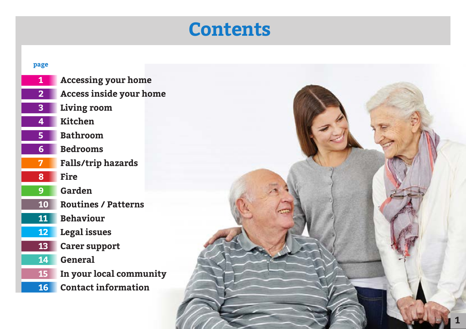### **Contents**

#### **page**

 **Accessing your home Access inside your home Living room Kitchen Bathroom Bedrooms Falls/trip hazards Fire Garden Routines / Patterns Behaviour Legal issues Carer support General In your local community Contact information**

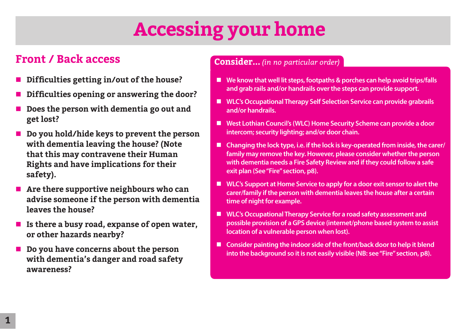## **Accessing your home**

### **Front / Back access**

- n **Difficulties getting in/out of the house?**
- n **Difficulties opening or answering the door?**
- Does the person with dementia go out and **get lost?**
- **Do you hold/hide keys to prevent the person with dementia leaving the house? (Note that this may contravene their Human Rights and have implications for their safety).**
- Are there supportive neighbours who can **advise someone if the person with dementia leaves the house?**
- Is there a busy road, expanse of open water, **or other hazards nearby?**
- **Do you have concerns about the person with dementia's danger and road safety awareness?**

- We know that well lit steps, footpaths & porches can help avoid trips/falls **and grab rails and/or handrails over the steps can provide support.**
- WLC's Occupational Therapy Self Selection Service can provide grabrails **and/or handrails.**
- West Lothian Council's (WLC) Home Security Scheme can provide a door **intercom; security lighting; and/or door chain.**
- Changing the lock type, i.e. if the lock is key-operated from inside, the carer/ **family may remove the key. However, please consider whether the person with dementia needs a Fire Safety Review and if they could follow a safe exit plan (See "Fire" section, p8).**
- WLC's Support at Home Service to apply for a door exit sensor to alert the **carer/family if the person with dementia leaves the house after a certain time of night for example.**
- **n** WLC's Occupational Therapy Service for a road safety assessment and **possible provision of a GPS device (internet/phone based system to assist location of a vulnerable person when lost).**
- Consider painting the indoor side of the front/back door to help it blend **into the background so it is not easily visible (NB: see "Fire" section, p8).**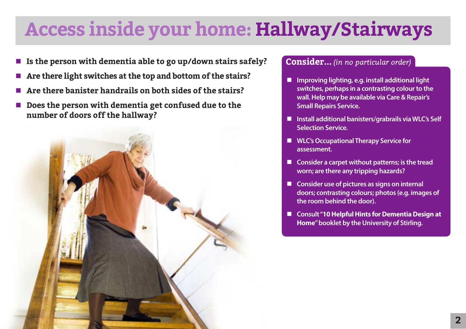### **Access inside your home: Hallway/Stairways**

- Is the person with dementia able to go up/down stairs safely?
- n **Are there light switches at the top and bottom of the stairs?**
- n **Are there banister handrails on both sides of the stairs?**
- Does the person with dementia get confused due to the **number of doors off the hallway?**



- Improving lighting, e.g. install additional light **switches, perhaps in a contrasting colour to the wall. Help may be available via Care & Repair's Small Repairs Service.**
- Install additional banisters/grabrails via WLC's Self **Selection Service.**
- WLC's Occupational Therapy Service for **assessment.**
- Consider a carpet without patterns; is the tread **worn; are there any tripping hazards?**
- Consider use of pictures as signs on internal **doors; contrasting colours; photos (e.g. images of the room behind the door).**
- Consult "**10 Helpful Hints for Dementia Design at Home" booklet by the University of Stirling.**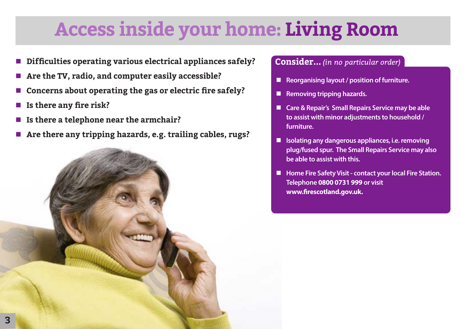## **Access inside your home: Living Room**

- n **Difficulties operating various electrical appliances safely?**
- Are the TV, radio, and computer easily accessible?
- n **Concerns about operating the gas or electric fire safely?**
- Is there any fire risk?
- Is there a telephone near the armchair?
- Are there any tripping hazards, e.g. trailing cables, rugs?

- Reorganising layout / position of furniture.
- **n** Removing tripping hazards.
- Care & Repair's Small Repairs Service may be able **to assist with minor adjustments to household / furniture.**
- n **Isolating any dangerous appliances, i.e. removing plug/fused spur. The Small Repairs Service may also be able to assist with this.**
- n **Home Fire Safety Visit contact your local Fire Station. Telephone 0800 0731 999 or visit www.firescotland.gov.uk.**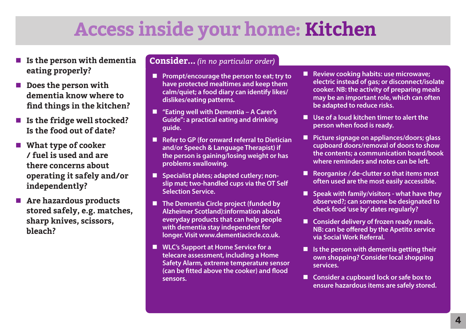### **Access inside your home: Kitchen**

- Is the person with dementia **eating properly?**
- Does the person with **dementia know where to find things in the kitchen?**
- Is the fridge well stocked? **Is the food out of date?**
- What type of cooker **/ fuel is used and are there concerns about operating it safely and/or independently?**
- Are hazardous products **stored safely, e.g. matches, sharp knives, scissors, bleach?**

- **Prompt/encourage the person to eat; try to have protected mealtimes and keep them calm/quiet; a food diary can identify likes/ dislikes/eating patterns.**
- *"*Eating well with Dementia A Carer's **Guide": a practical eating and drinking guide.**
- Refer to GP (for onward referral to Dietician **and/or Speech & Language Therapist) if the person is gaining/losing weight or has problems swallowing.**
- Specialist plates; adapted cutlery; non**slip mat; two-handled cups via the OT Self Selection Service.**
- The Dementia Circle project (funded by **Alzheimer Scotland):information about everyday products that can help people with dementia stay independent for longer. Visit www.dementiacircle.co.uk.**
- WLC's Support at Home Service for a **telecare assessment, including a Home Safety Alarm, extreme temperature sensor (can be fitted above the cooker) and flood sensors.**
- Review cooking habits: use microwave; **electric instead of gas; or disconnect/isolate cooker. NB: the activity of preparing meals may be an important role, which can often be adapted to reduce risks.**
- Use of a loud kitchen timer to alert the **person when food is ready.**
- Picture signage on appliances/doors; glass **cupboard doors/removal of doors to show the contents; a communication board/book where reminders and notes can be left.**
- Reorganise / de-clutter so that items most **often used are the most easily accessible.**
- Speak with family/visitors what have they **observed?; can someone be designated to check food 'use by' dates regularly?**
- Consider delivery of frozen ready meals. **NB: can be offered by the Apetito service via Social Work Referral.**
- Is the person with dementia getting their **own shopping? Consider local shopping services.**
- Consider a cupboard lock or safe box to **ensure hazardous items are safely stored.**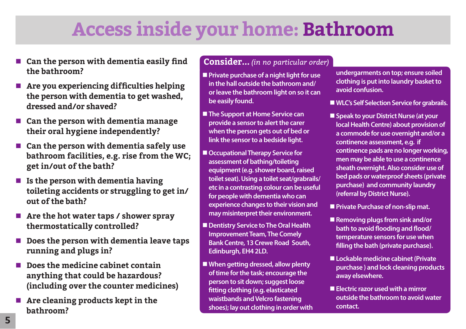### **Access inside your home: Bathroom**

- Can the person with dementia easily find **the bathroom?**
- Are you experiencing difficulties helping **the person with dementia to get washed, dressed and/or shaved?**
- Can the person with dementia manage **their oral hygiene independently?**
- Can the person with dementia safely use **bathroom facilities, e.g. rise from the WC; get in/out of the bath?**
- **n** Is the person with dementia having **toileting accidents or struggling to get in/ out of the bath?**
- Are the hot water taps / shower spray **thermostatically controlled?**
- Does the person with dementia leave taps **running and plugs in?**
- Does the medicine cabinet contain **anything that could be hazardous? (including over the counter medicines)**
- **n** Are cleaning products kept in the **bathroom?**

- **Private purchase of a night light for use in the hall outside the bathroom and/ or leave the bathroom light on so it can be easily found.**
- **The Support at Home Service can provide a sensor to alert the carer when the person gets out of bed or link the sensor to a bedside light.**
- Occupational Therapy Service for **assessment of bathing/toileting equipment (e.g. shower board, raised toilet seat). Using a toilet seat/grabrails/ etc in a contrasting colour can be useful for people with dementia who can experience changes to their vision and may misinterpret their environment.**
- $\blacksquare$  Dentistry Service to The Oral Health **Improvement Team, The Comely Bank Centre, 13 Crewe Road South, Edinburgh, EH4 2LD.**
- When getting dressed, allow plenty **of time for the task; encourage the person to sit down; suggest loose fitting clothing (e.g. elasticated waistbands and Velcro fastening shoes); lay out clothing in order with**
- **undergarments on top; ensure soiled clothing is put into laundry basket to avoid confusion.**
- WLC's Self Selection Service for grabrails.
- Speak to your District Nurse (at your **local Health Centre) about provision of a commode for use overnight and/or a continence assessment, e.g. if continence pads are no longer working, men may be able to use a continence sheath overnight. Also consider use of bed pads or waterproof sheets (private purchase) and community laundry (referral by District Nurse).**
- **Private Purchase of non-slip mat.**
- Removing plugs from sink and/or **bath to avoid flooding and flood/ temperature sensors for use when filling the bath (private purchase).**
- Lockable medicine cabinet (Private **purchase ) and lock cleaning products away elsewhere.**
- **Electric razor used with a mirror outside the bathroom to avoid water contact.**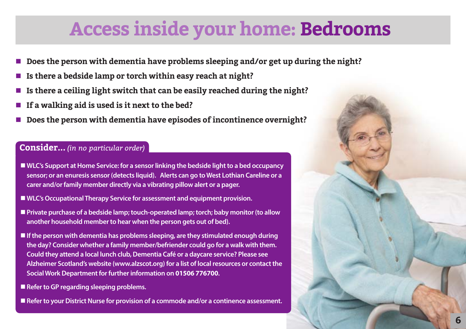### **Access inside your home: Bedrooms**

- n **Does the person with dementia have problems sleeping and/or get up during the night?**
- n **Is there a bedside lamp or torch within easy reach at night?**
- n **Is there a ceiling light switch that can be easily reached during the night?**
- If a walking aid is used is it next to the bed?
- n **Does the person with dementia have episodes of incontinence overnight?**

- WLC's Support at Home Service: for a sensor linking the bedside light to a bed occupancy **sensor; or an enuresis sensor (detects liquid). Alerts can go to West Lothian Careline or a carer and/or family member directly via a vibrating pillow alert or a pager.**
- WLC's Occupational Therapy Service for assessment and equipment provision.
- **n** Private purchase of a bedside lamp; touch-operated lamp; torch; baby monitor (to allow **another household member to hear when the person gets out of bed).**
- If the person with dementia has problems sleeping, are they stimulated enough during **the day? Consider whether a family member/befriender could go for a walk with them. Could they attend a local lunch club, Dementia Café or a daycare service? Please see Alzheimer Scotland's website (www.alzscot.org) for a list of local resources or contact the Social Work Department for further information on 01506 776700.**
- Refer to GP regarding sleeping problems.
- Refer to your District Nurse for provision of a commode and/or a continence assessment.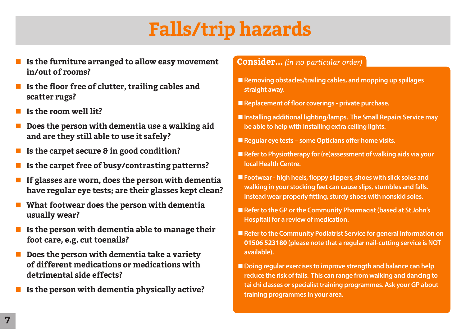## **Falls/trip hazards**

- Is the furniture arranged to allow easy movement **in/out of rooms?**
- Is the floor free of clutter, trailing cables and **scatter rugs?**
- n **Is the room well lit?**
- n **Does the person with dementia use a walking aid and are they still able to use it safely?**
- Is the carpet secure & in good condition?
- Is the carpet free of busy/contrasting patterns?
- n **If glasses are worn, does the person with dementia have regular eye tests; are their glasses kept clean?**
- What footwear does the person with dementia **usually wear?**
- Is the person with dementia able to manage their **foot care, e.g. cut toenails?**
- **Does the person with dementia take a variety of different medications or medications with detrimental side effects?**
- n **Is the person with dementia physically active?**

- Removing obstacles/trailing cables, and mopping up spillages **straight away.**
- Replacement of floor coverings private purchase.
- Installing additional lighting/lamps. The Small Repairs Service may **be able to help with installing extra ceiling lights.**
- Regular eye tests some Opticians offer home visits.
- Refer to Physiotherapy for (re)assessment of walking aids via your **local Health Centre.**
- Footwear high heels, floppy slippers, shoes with slick soles and **walking in your stocking feet can cause slips, stumbles and falls. Instead wear properly fitting, sturdy shoes with nonskid soles.**
- Refer to the GP or the Community Pharmacist (based at St John's **Hospital) for a review of medication.**
- Refer to the Community Podiatrist Service for general information on **01506 523180 (please note that a regular nail-cutting service is NOT available).**
- Doing regular exercises to improve strength and balance can help **reduce the risk of falls. This can range from walking and dancing to tai chi classes or specialist training programmes. Ask your GP about training programmes in your area.**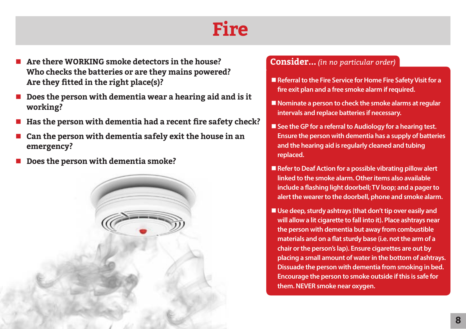### **Fire**

- n **Are there WORKING smoke detectors in the house? Who checks the batteries or are they mains powered? Are they fitted in the right place(s)?**
- Does the person with dementia wear a hearing aid and is it **working?**
- n **Has the person with dementia had a recent fire safety check?**
- n **Can the person with dementia safely exit the house in an emergency?**
- Does the person with dementia smoke?



- Referral to the Fire Service for Home Fire Safety Visit for a **fire exit plan and a free smoke alarm if required.**
- **Nominate a person to check the smoke alarms at regular intervals and replace batteries if necessary.**
- See the GP for a referral to Audiology for a hearing test. **Ensure the person with dementia has a supply of batteries and the hearing aid is regularly cleaned and tubing replaced.**
- Refer to Deaf Action for a possible vibrating pillow alert **linked to the smoke alarm. Other items also available include a flashing light doorbell; TV loop; and a pager to alert the wearer to the doorbell, phone and smoke alarm.**
- Use deep, sturdy ashtrays (that don't tip over easily and **will allow a lit cigarette to fall into it). Place ashtrays near the person with dementia but away from combustible materials and on a flat sturdy base (i.e. not the arm of a chair or the person's lap). Ensure cigarettes are out by placing a small amount of water in the bottom of ashtrays. Dissuade the person with dementia from smoking in bed. Encourage the person to smoke outside if this is safe for them. NEVER smoke near oxygen.**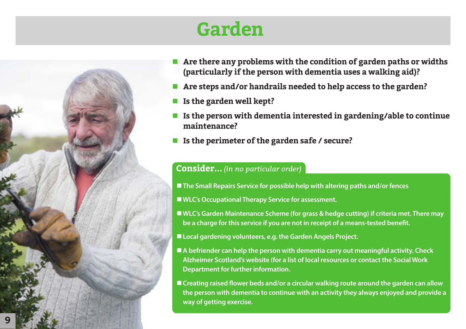

### **Garden**

- **n** Are there any problems with the condition of garden paths or widths **(particularly if the person with dementia uses a walking aid)?**
- n **Are steps and/or handrails needed to help access to the garden?**
- n **Is the garden well kept?**
- n **Is the person with dementia interested in gardening/able to continue maintenance?**
- Is the perimeter of the garden safe / secure?

### **Consider...** *(in no particular order)*

■ The Small Repairs Service for possible help with altering paths and/or fences

■ WLC's Occupational Therapy Service for assessment.

■ WLC's Garden Maintenance Scheme (for grass & hedge cutting) if criteria met. There may **be a charge for this service if you are not in receipt of a means-tested benefit.** 

■ Local gardening volunteers, e.g. the Garden Angels Project.

■ A befriender can help the person with dementia carry out meaningful activity. Check **Alzheimer Scotland's website (for a list of local resources or contact the Social Work Department for further information.** 

■ Creating raised flower beds and/or a circular walking route around the garden can allow **the person with dementia to continue with an activity they always enjoyed and provide a way of getting exercise.**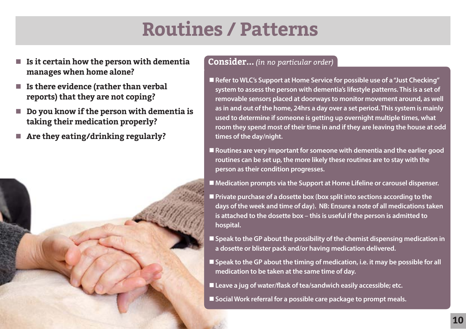### **Routines / Patterns**

- **Is it certain how the person with dementia manages when home alone?**
- Is there evidence (rather than verbal **reports) that they are not coping?**
- **Do you know if the person with dementia is taking their medication properly?**
- n **Are they eating/drinking regularly?**



#### **Consider...** *(in no particular order)*

- Refer to WLC's Support at Home Service for possible use of a "Just Checking" **system to assess the person with dementia's lifestyle patterns. This is a set of removable sensors placed at doorways to monitor movement around, as well as in and out of the home, 24hrs a day over a set period. This system is mainly used to determine if someone is getting up overnight multiple times, what room they spend most of their time in and if they are leaving the house at odd times of the day/night.**
- **n** Routines are very important for someone with dementia and the earlier good **routines can be set up, the more likely these routines are to stay with the person as their condition progresses.**

■ Medication prompts via the Support at Home Lifeline or carousel dispenser.

- **n** Private purchase of a dosette box (box split into sections according to the **days of the week and time of day). NB: Ensure a note of all medications taken is attached to the dosette box – this is useful if the person is admitted to hospital.**
- **Speak to the GP about the possibility of the chemist dispensing medication in a dosette or blister pack and/or having medication delivered.**
- Speak to the GP about the timing of medication, i.e. it may be possible for all **medication to be taken at the same time of day.**
- Leave a jug of water/flask of tea/sandwich easily accessible; etc.
- **EX Social Work referral for a possible care package to prompt meals.**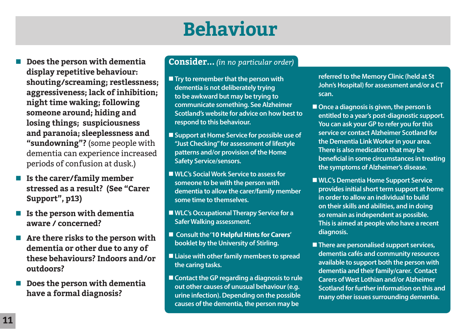## **Behaviour**

- Does the person with dementia **display repetitive behaviour: shouting/screaming; restlessness; aggressiveness; lack of inhibition; night time waking; following someone around; hiding and losing things; suspiciousness and paranoia; sleeplessness and "sundowning"?** (some people with dementia can experience increased periods of confusion at dusk.)
- Is the carer/family member **stressed as a result? (See "Carer Support", p13)**
- Is the person with dementia **aware / concerned?**
- Are there risks to the person with **dementia or other due to any of these behaviours? Indoors and/or outdoors?**
- Does the person with dementia **have a formal diagnosis?**

### **Consider...** *(in no particular order)*

- $\blacksquare$  Try to remember that the person with **dementia is not deliberately trying to be awkward but may be trying to communicate something. See Alzheimer Scotland's website for advice on how best to respond to this behaviour.**
- Support at Home Service for possible use of **"Just Checking" for assessment of lifestyle patterns and/or provision of the Home Safety Service/sensors.**
- WLC's Social Work Service to assess for **someone to be with the person with dementia to allow the carer/family member some time to themselves.**
- WLC's Occupational Therapy Service for a **Safer Walking assessment.**
- Consult the '**10 Helpful Hints for Carers' booklet by the University of Stirling.**
- Liaise with other family members to spread **the caring tasks.**
- Contact the GP regarding a diagnosis to rule **out other causes of unusual behaviour (e.g. urine infection). Depending on the possible causes of the dementia, the person may be**

**referred to the Memory Clinic (held at St John's Hospital) for assessment and/or a CT scan.** 

- Once a diagnosis is given, the person is **entitled to a year's post-diagnostic support. You can ask your GP to refer you for this service or contact Alzheimer Scotland for the Dementia Link Worker in your area. There is also medication that may be beneficial in some circumstances in treating the symptoms of Alzheimer's disease.**
- WLC's Dementia Home Support Service **provides initial short term support at home in order to allow an individual to build on their skills and abilities, and in doing so remain as independent as possible. This is aimed at people who have a recent diagnosis.**
- There are personalised support services, **dementia cafés and community resources available to support both the person with dementia and their family/carer. Contact Carers of West Lothian and/or Alzheimer Scotland for further information on this and many other issues surrounding dementia.**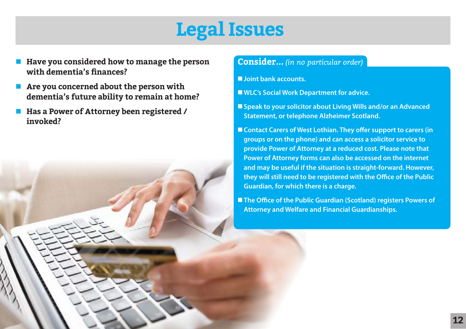### **Legal Issues**

- Have you considered how to manage the person **Consider...** *(in no particular order)* **with dementia's finances?**
- Are you concerned about the person with **dementia's future ability to remain at home?**
- Has a Power of Attorney been registered / **invoked?**

- n**Joint bank accounts.**
- WLC's Social Work Department for advice.
- Speak to your solicitor about Living Wills and/or an Advanced **Statement, or telephone Alzheimer Scotland.**
- Contact Carers of West Lothian. They offer support to carers (in **groups or on the phone) and can access a solicitor service to provide Power of Attorney at a reduced cost. Please note that Power of Attorney forms can also be accessed on the internet and may be useful if the situation is straight-forward. However, they will still need to be registered with the Office of the Public Guardian, for which there is a charge.**

■ The Office of the Public Guardian (Scotland) registers Powers of **Attorney and Welfare and Financial Guardianships.**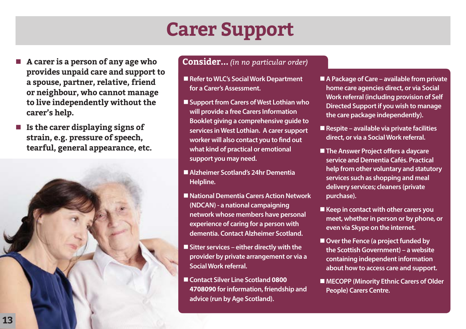### **Carer Support**

- n **A carer is a person of any age who Consider...** *(in no particular order)*  **provides unpaid care and support to a spouse, partner, relative, friend or neighbour, who cannot manage to live independently without the carer's help.**
- Is the carer displaying signs of **strain, e.g. pressure of speech, tearful, general appearance, etc.**



- Refer to WLC's Social Work Department **for a Carer's Assessment.**
- Support from Carers of West Lothian who **will provide a free Carers Information Booklet giving a comprehensive guide to services in West Lothian. A carer support worker will also contact you to find out what kind of practical or emotional support you may need.**
- Alzheimer Scotland's 24hr Dementia **Helpline.**
- National Dementia Carers Action Network **(NDCAN) - a national campaigning network whose members have personal experience of caring for a person with dementia. Contact Alzheimer Scotland.**
- Sitter services either directly with the **provider by private arrangement or via a Social Work referral.**
- Contact Silver Line Scotland 0800 **4708090 for information, friendship and advice (run by Age Scotland).**
- A Package of Care available from private **home care agencies direct, or via Social Work referral (including provision of Self Directed Support if you wish to manage the care package independently).**
- Respite available via private facilities **direct, or via a Social Work referral.**
- The Answer Project offers a daycare **service and Dementia Cafés. Practical help from other voluntary and statutory services such as shopping and meal delivery services; cleaners (private purchase).**
- Keep in contact with other carers you **meet, whether in person or by phone, or even via Skype on the internet.**
- Over the Fence (a project funded by **the Scottish Government) – a website containing independent information about how to access care and support.**
- MECOPP (Minority Ethnic Carers of Older **People) Carers Centre.**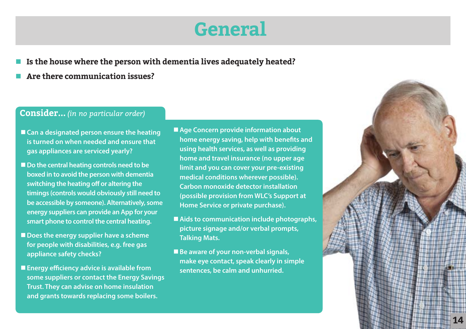### **General**

- Is the house where the person with dementia lives adequately heated?
- Are there communication issues?

- Can a designated person ensure the heating **is turned on when needed and ensure that gas appliances are serviced yearly?**
- Do the central heating controls need to be **boxed in to avoid the person with dementia switching the heating off or altering the timings (controls would obviously still need to be accessible by someone). Alternatively, some energy suppliers can provide an App for your smart phone to control the central heating.**
- Does the energy supplier have a scheme **for people with disabilities, e.g. free gas appliance safety checks?**
- **Energy efficiency advice is available from some suppliers or contact the Energy Savings Trust. They can advise on home insulation and grants towards replacing some boilers.**
- Age Concern provide information about **home energy saving, help with benefits and using health services, as well as providing home and travel insurance (no upper age limit and you can cover your pre-existing medical conditions wherever possible). Carbon monoxide detector installation (possible provision from WLC's Support at Home Service or private purchase).**
- Aids to communication include photographs, **picture signage and/or verbal prompts, Talking Mats.**
- Be aware of your non-verbal signals, **make eye contact, speak clearly in simple sentences, be calm and unhurried.**

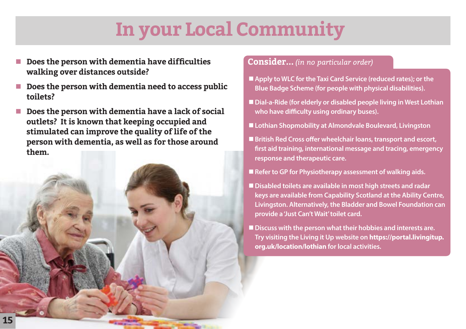## **In your Local Community**

- **Does the person with dementia have difficulties <br><b>Consider...** *(in no particular order)* **Consider...** *(in no particular order)* **walking over distances outside?**
- n **Does the person with dementia need to access public toilets?**
- n **Does the person with dementia have a lack of social outlets? It is known that keeping occupied and stimulated can improve the quality of life of the person with dementia, as well as for those around them.**



- Apply to WLC for the Taxi Card Service (reduced rates); or the **Blue Badge Scheme (for people with physical disabilities).**
- Dial-a-Ride (for elderly or disabled people living in West Lothian **who have difficulty using ordinary buses).**
- Lothian Shopmobility at Almondvale Boulevard, Livingston
- British Red Cross offer wheelchair loans, transport and escort, **first aid training, international message and tracing, emergency response and therapeutic care.**
- Refer to GP for Physiotherapy assessment of walking aids.
- Disabled toilets are available in most high streets and radar **keys are available from Capability Scotland at the Ability Centre, Livingston. Alternatively, the Bladder and Bowel Foundation can provide a 'Just Can't Wait' toilet card.**
- Discuss with the person what their hobbies and interests are. **Try visiting the Living it Up website on https://portal.livingitup. org.uk/location/lothian for local activities.**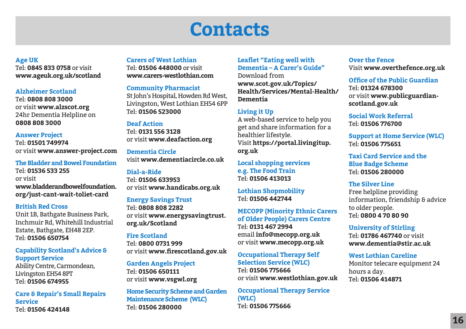### **Contacts**

**Age UK** 

Tel: **0845 833 0758** or visit **www.ageuk.org.uk/scotland** 

#### **Alzheimer Scotland**

Tel: **0808 808 3000** or visit **www.alzscot.org** 24hr Dementia Helpline on **0808 808 3000**

**Answer Project** Tel: **01501 749974** or visit **www.answer-project.com**

**The Bladder and Bowel Foundation** Tel: **01536 533 255**  or visit **www.bladderandbowelfoundation. org/just-cant-wait-toliet-card**

#### **British Red Cross**

Unit 1B, Bathgate Business Park, Inchmuir Rd, Whitehill Industrial Estate, Bathgate, EH48 2EP. Tel: **01506 650754** 

### **Capability Scotland's Advice & Support Service**

Ability Centre, Carmondean, Livingston EH54 8PT Tel: **01506 674955**

**Care & Repair's Small Repairs Service**  Tel: **01506 424148**

#### **Carers of West Lothian**

Tel: **01506 448000** or visit **www.carers-westlothian.com**

#### **Community Pharmacist**

St John's Hospital, Howden Rd West, Livingston, West Lothian EH54 6PP Tel: **01506 523000**

#### **Deaf Action**

Tel: **0131 556 3128** or visit **www.deafaction.org**

**Dementia Circle**  visit **www.dementiacircle.co.uk**

#### **Dial-a-Ride**

Tel: **01506 633953** or visit **www.handicabs.org.uk**

#### **Energy Savings Trust**

Tel: **0808 808 2282** or visit **www.energysavingtrust. org.uk/Scotland**

#### **Fire Scotland**

Tel: **0800 0731 999**  or visit **www.firescotland.gov.uk**

**Garden Angels Project** Tel: **01506 650111** or visit **www.vsgwl.org**

**Home Security Scheme and Garden Maintenance Scheme (WLC)** Tel: **01506 280000**

### **Leaflet "Eating well with Dementia – A Carer's Guide"**

Download from **www.scot.gov.uk/Topics/ Health/Services/Mental-Health/ Dementia**

#### **Living it Up**

A web-based service to help you get and share information for a healthier lifestyle. Visit **https://portal.livingitup. org.uk**

**Local shopping services e.g. The Food Train**  Tel: **01506 413013**

**Lothian Shopmobility**  Tel: **01506 442744**

**MECOPP (Minority Ethnic Carers of Older People) Carers Centre**  Tel: **0131 467 2994** email **info@mecopp.org.uk** or visit **www.mecopp.org.uk**

**Occupational Therapy Self Selection Service (WLC)** Tel: **01506 775666** or visit **www.westlothian.gov.uk**

**Occupational Therapy Service (WLC)** Tel: **01506 775666**

#### **Over the Fence** Visit **www.overthefence.org.uk**

#### **Office of the Public Guardian** Tel: **01324 678300** or visit **www.publicguardianscotland.gov.uk**

**Social Work Referral**  Tel: **01506 776700**

**Support at Home Service (WLC)** Tel: **01506 775651**

**Taxi Card Service and the Blue Badge Scheme**  Tel: **01506 280000**

#### **The Silver Line**

Free helpline providing information, friendship & advice to older people. Tel: **0800 4 70 80 90**

**University of Stirling**  Tel: **01786 467740** or visit **www.dementia@stir.ac.uk**

**West Lothian Careline** Monitor telecare equipment 24 hours a day. Tel: **01506 414871**